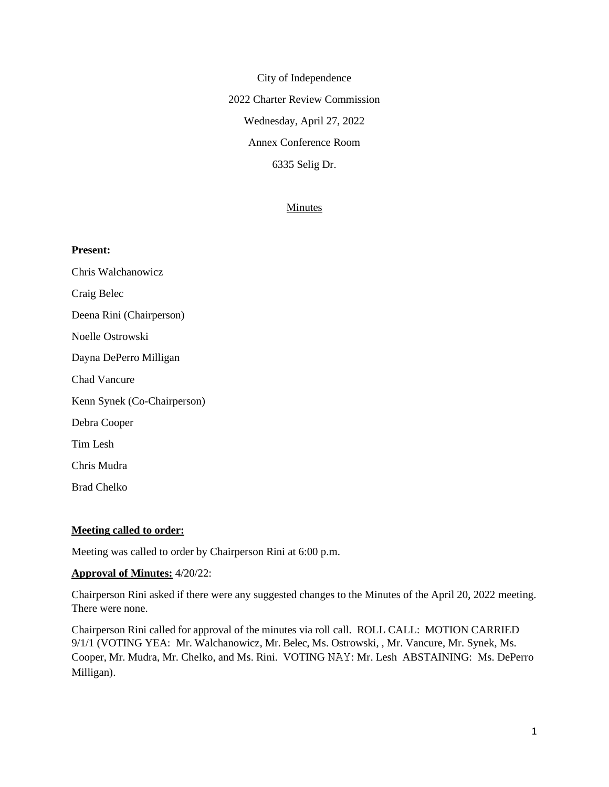City of Independence 2022 Charter Review Commission Wednesday, April 27, 2022 Annex Conference Room 6335 Selig Dr.

#### **Minutes**

#### **Present:**

Chris Walchanowicz Craig Belec Deena Rini (Chairperson) Noelle Ostrowski Dayna DePerro Milligan Chad Vancure Kenn Synek (Co-Chairperson) Debra Cooper Tim Lesh Chris Mudra Brad Chelko

#### **Meeting called to order:**

Meeting was called to order by Chairperson Rini at 6:00 p.m.

#### **Approval of Minutes:** 4/20/22:

Chairperson Rini asked if there were any suggested changes to the Minutes of the April 20, 2022 meeting. There were none.

Chairperson Rini called for approval of the minutes via roll call. ROLL CALL: MOTION CARRIED 9/1/1 (VOTING YEA: Mr. Walchanowicz, Mr. Belec, Ms. Ostrowski, , Mr. Vancure, Mr. Synek, Ms. Cooper, Mr. Mudra, Mr. Chelko, and Ms. Rini. VOTING NAY: Mr. Lesh ABSTAINING: Ms. DePerro Milligan).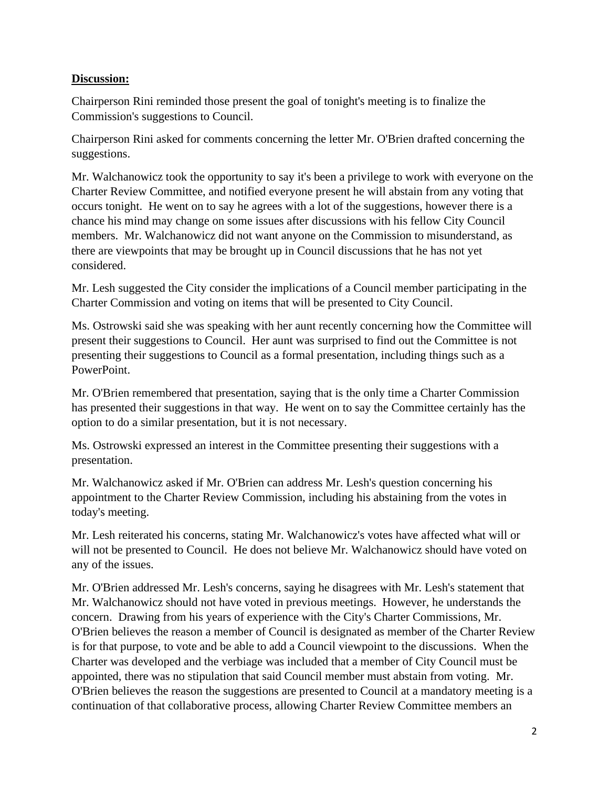# **Discussion:**

Chairperson Rini reminded those present the goal of tonight's meeting is to finalize the Commission's suggestions to Council.

Chairperson Rini asked for comments concerning the letter Mr. O'Brien drafted concerning the suggestions.

Mr. Walchanowicz took the opportunity to say it's been a privilege to work with everyone on the Charter Review Committee, and notified everyone present he will abstain from any voting that occurs tonight. He went on to say he agrees with a lot of the suggestions, however there is a chance his mind may change on some issues after discussions with his fellow City Council members. Mr. Walchanowicz did not want anyone on the Commission to misunderstand, as there are viewpoints that may be brought up in Council discussions that he has not yet considered.

Mr. Lesh suggested the City consider the implications of a Council member participating in the Charter Commission and voting on items that will be presented to City Council.

Ms. Ostrowski said she was speaking with her aunt recently concerning how the Committee will present their suggestions to Council. Her aunt was surprised to find out the Committee is not presenting their suggestions to Council as a formal presentation, including things such as a PowerPoint.

Mr. O'Brien remembered that presentation, saying that is the only time a Charter Commission has presented their suggestions in that way. He went on to say the Committee certainly has the option to do a similar presentation, but it is not necessary.

Ms. Ostrowski expressed an interest in the Committee presenting their suggestions with a presentation.

Mr. Walchanowicz asked if Mr. O'Brien can address Mr. Lesh's question concerning his appointment to the Charter Review Commission, including his abstaining from the votes in today's meeting.

Mr. Lesh reiterated his concerns, stating Mr. Walchanowicz's votes have affected what will or will not be presented to Council. He does not believe Mr. Walchanowicz should have voted on any of the issues.

Mr. O'Brien addressed Mr. Lesh's concerns, saying he disagrees with Mr. Lesh's statement that Mr. Walchanowicz should not have voted in previous meetings. However, he understands the concern. Drawing from his years of experience with the City's Charter Commissions, Mr. O'Brien believes the reason a member of Council is designated as member of the Charter Review is for that purpose, to vote and be able to add a Council viewpoint to the discussions. When the Charter was developed and the verbiage was included that a member of City Council must be appointed, there was no stipulation that said Council member must abstain from voting. Mr. O'Brien believes the reason the suggestions are presented to Council at a mandatory meeting is a continuation of that collaborative process, allowing Charter Review Committee members an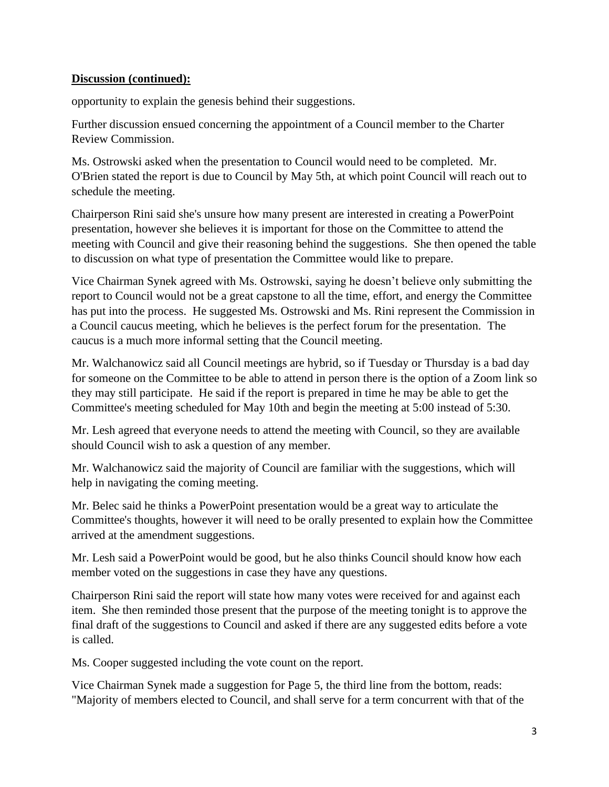# **Discussion (continued):**

opportunity to explain the genesis behind their suggestions.

Further discussion ensued concerning the appointment of a Council member to the Charter Review Commission.

Ms. Ostrowski asked when the presentation to Council would need to be completed. Mr. O'Brien stated the report is due to Council by May 5th, at which point Council will reach out to schedule the meeting.

Chairperson Rini said she's unsure how many present are interested in creating a PowerPoint presentation, however she believes it is important for those on the Committee to attend the meeting with Council and give their reasoning behind the suggestions. She then opened the table to discussion on what type of presentation the Committee would like to prepare.

Vice Chairman Synek agreed with Ms. Ostrowski, saying he doesn't believe only submitting the report to Council would not be a great capstone to all the time, effort, and energy the Committee has put into the process. He suggested Ms. Ostrowski and Ms. Rini represent the Commission in a Council caucus meeting, which he believes is the perfect forum for the presentation. The caucus is a much more informal setting that the Council meeting.

Mr. Walchanowicz said all Council meetings are hybrid, so if Tuesday or Thursday is a bad day for someone on the Committee to be able to attend in person there is the option of a Zoom link so they may still participate. He said if the report is prepared in time he may be able to get the Committee's meeting scheduled for May 10th and begin the meeting at 5:00 instead of 5:30.

Mr. Lesh agreed that everyone needs to attend the meeting with Council, so they are available should Council wish to ask a question of any member.

Mr. Walchanowicz said the majority of Council are familiar with the suggestions, which will help in navigating the coming meeting.

Mr. Belec said he thinks a PowerPoint presentation would be a great way to articulate the Committee's thoughts, however it will need to be orally presented to explain how the Committee arrived at the amendment suggestions.

Mr. Lesh said a PowerPoint would be good, but he also thinks Council should know how each member voted on the suggestions in case they have any questions.

Chairperson Rini said the report will state how many votes were received for and against each item. She then reminded those present that the purpose of the meeting tonight is to approve the final draft of the suggestions to Council and asked if there are any suggested edits before a vote is called.

Ms. Cooper suggested including the vote count on the report.

Vice Chairman Synek made a suggestion for Page 5, the third line from the bottom, reads: "Majority of members elected to Council, and shall serve for a term concurrent with that of the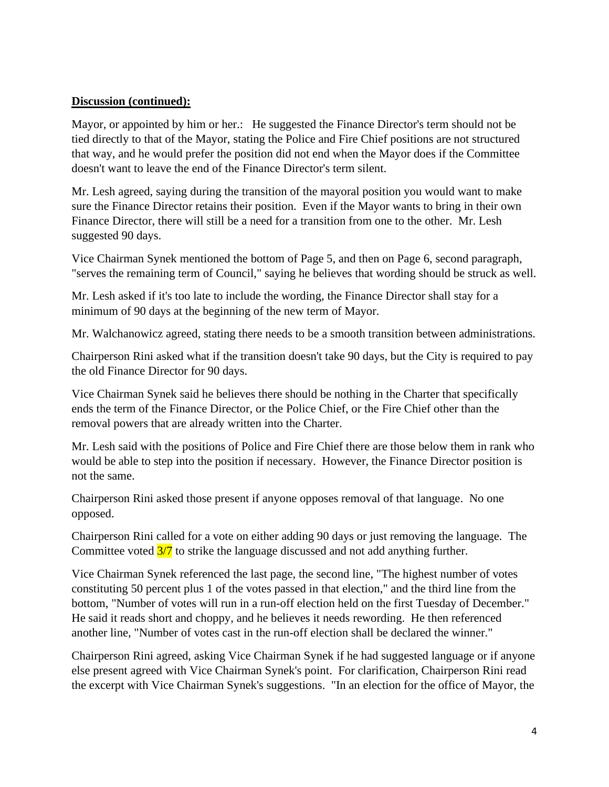# **Discussion (continued):**

Mayor, or appointed by him or her.: He suggested the Finance Director's term should not be tied directly to that of the Mayor, stating the Police and Fire Chief positions are not structured that way, and he would prefer the position did not end when the Mayor does if the Committee doesn't want to leave the end of the Finance Director's term silent.

Mr. Lesh agreed, saying during the transition of the mayoral position you would want to make sure the Finance Director retains their position. Even if the Mayor wants to bring in their own Finance Director, there will still be a need for a transition from one to the other. Mr. Lesh suggested 90 days.

Vice Chairman Synek mentioned the bottom of Page 5, and then on Page 6, second paragraph, "serves the remaining term of Council," saying he believes that wording should be struck as well.

Mr. Lesh asked if it's too late to include the wording, the Finance Director shall stay for a minimum of 90 days at the beginning of the new term of Mayor.

Mr. Walchanowicz agreed, stating there needs to be a smooth transition between administrations.

Chairperson Rini asked what if the transition doesn't take 90 days, but the City is required to pay the old Finance Director for 90 days.

Vice Chairman Synek said he believes there should be nothing in the Charter that specifically ends the term of the Finance Director, or the Police Chief, or the Fire Chief other than the removal powers that are already written into the Charter.

Mr. Lesh said with the positions of Police and Fire Chief there are those below them in rank who would be able to step into the position if necessary. However, the Finance Director position is not the same.

Chairperson Rini asked those present if anyone opposes removal of that language. No one opposed.

Chairperson Rini called for a vote on either adding 90 days or just removing the language. The Committee voted  $\frac{3}{7}$  to strike the language discussed and not add anything further.

Vice Chairman Synek referenced the last page, the second line, "The highest number of votes constituting 50 percent plus 1 of the votes passed in that election," and the third line from the bottom, "Number of votes will run in a run-off election held on the first Tuesday of December." He said it reads short and choppy, and he believes it needs rewording. He then referenced another line, "Number of votes cast in the run-off election shall be declared the winner."

Chairperson Rini agreed, asking Vice Chairman Synek if he had suggested language or if anyone else present agreed with Vice Chairman Synek's point. For clarification, Chairperson Rini read the excerpt with Vice Chairman Synek's suggestions. "In an election for the office of Mayor, the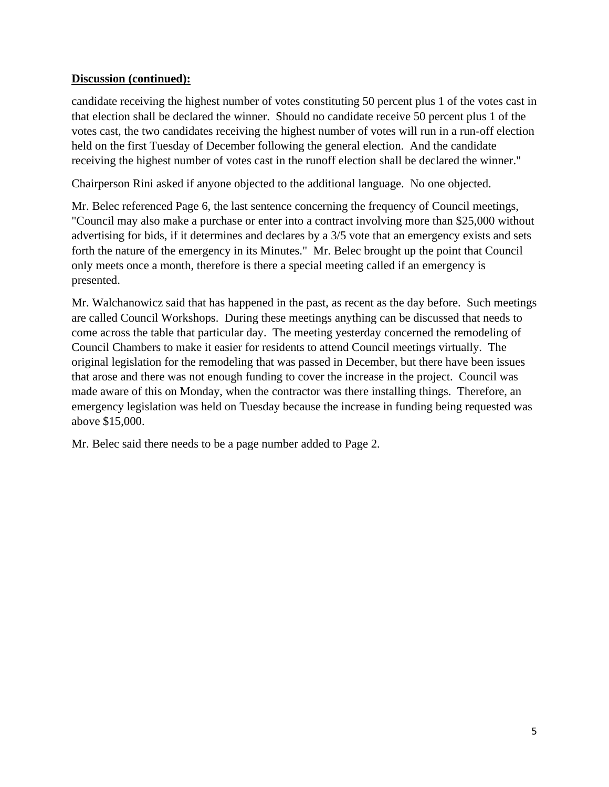# **Discussion (continued):**

candidate receiving the highest number of votes constituting 50 percent plus 1 of the votes cast in that election shall be declared the winner. Should no candidate receive 50 percent plus 1 of the votes cast, the two candidates receiving the highest number of votes will run in a run-off election held on the first Tuesday of December following the general election. And the candidate receiving the highest number of votes cast in the runoff election shall be declared the winner."

Chairperson Rini asked if anyone objected to the additional language. No one objected.

Mr. Belec referenced Page 6, the last sentence concerning the frequency of Council meetings, "Council may also make a purchase or enter into a contract involving more than \$25,000 without advertising for bids, if it determines and declares by a 3/5 vote that an emergency exists and sets forth the nature of the emergency in its Minutes." Mr. Belec brought up the point that Council only meets once a month, therefore is there a special meeting called if an emergency is presented.

Mr. Walchanowicz said that has happened in the past, as recent as the day before. Such meetings are called Council Workshops. During these meetings anything can be discussed that needs to come across the table that particular day. The meeting yesterday concerned the remodeling of Council Chambers to make it easier for residents to attend Council meetings virtually. The original legislation for the remodeling that was passed in December, but there have been issues that arose and there was not enough funding to cover the increase in the project. Council was made aware of this on Monday, when the contractor was there installing things. Therefore, an emergency legislation was held on Tuesday because the increase in funding being requested was above \$15,000.

Mr. Belec said there needs to be a page number added to Page 2.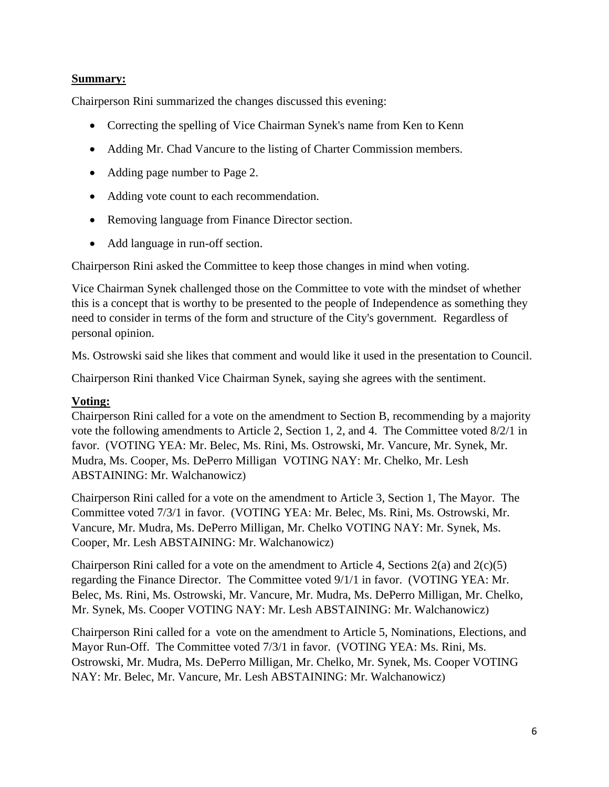#### **Summary:**

Chairperson Rini summarized the changes discussed this evening:

- Correcting the spelling of Vice Chairman Synek's name from Ken to Kenn
- Adding Mr. Chad Vancure to the listing of Charter Commission members.
- Adding page number to Page 2.
- Adding vote count to each recommendation.
- Removing language from Finance Director section.
- Add language in run-off section.

Chairperson Rini asked the Committee to keep those changes in mind when voting.

Vice Chairman Synek challenged those on the Committee to vote with the mindset of whether this is a concept that is worthy to be presented to the people of Independence as something they need to consider in terms of the form and structure of the City's government. Regardless of personal opinion.

Ms. Ostrowski said she likes that comment and would like it used in the presentation to Council.

Chairperson Rini thanked Vice Chairman Synek, saying she agrees with the sentiment.

#### **Voting:**

Chairperson Rini called for a vote on the amendment to Section B, recommending by a majority vote the following amendments to Article 2, Section 1, 2, and 4. The Committee voted 8/2/1 in favor. (VOTING YEA: Mr. Belec, Ms. Rini, Ms. Ostrowski, Mr. Vancure, Mr. Synek, Mr. Mudra, Ms. Cooper, Ms. DePerro Milligan VOTING NAY: Mr. Chelko, Mr. Lesh ABSTAINING: Mr. Walchanowicz)

Chairperson Rini called for a vote on the amendment to Article 3, Section 1, The Mayor. The Committee voted 7/3/1 in favor. (VOTING YEA: Mr. Belec, Ms. Rini, Ms. Ostrowski, Mr. Vancure, Mr. Mudra, Ms. DePerro Milligan, Mr. Chelko VOTING NAY: Mr. Synek, Ms. Cooper, Mr. Lesh ABSTAINING: Mr. Walchanowicz)

Chairperson Rini called for a vote on the amendment to Article 4, Sections  $2(a)$  and  $2(c)(5)$ regarding the Finance Director. The Committee voted 9/1/1 in favor. (VOTING YEA: Mr. Belec, Ms. Rini, Ms. Ostrowski, Mr. Vancure, Mr. Mudra, Ms. DePerro Milligan, Mr. Chelko, Mr. Synek, Ms. Cooper VOTING NAY: Mr. Lesh ABSTAINING: Mr. Walchanowicz)

Chairperson Rini called for a vote on the amendment to Article 5, Nominations, Elections, and Mayor Run-Off. The Committee voted 7/3/1 in favor. (VOTING YEA: Ms. Rini, Ms. Ostrowski, Mr. Mudra, Ms. DePerro Milligan, Mr. Chelko, Mr. Synek, Ms. Cooper VOTING NAY: Mr. Belec, Mr. Vancure, Mr. Lesh ABSTAINING: Mr. Walchanowicz)